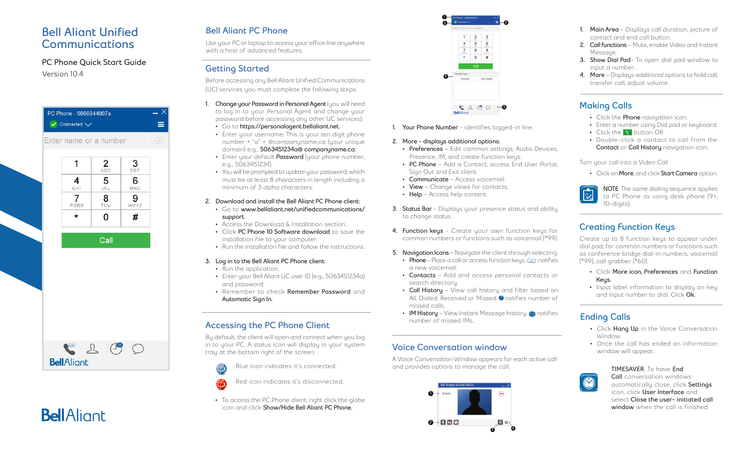## **Bell Aliant Unified Communications**

#### PC Phone Quick Start Guide **Version 10.4**



### **Bell Aliant PC Phone**

Use your PC or laptop to access your office line anywhere with a host of advanced features.

#### **Getting Started**

Before accessing any Bell Aliant Unified Communications (UC) services you must complete the following steps:

- 1. **Change your Password in Personal Agent** (you will need to log in to your Personal Agent and change your password before accessing any other UC services):
	- Go to **https://personalagent.bellaliant.net.**
	- Enter your username: This is your ten digit phone number + "a" + @companyname.ca (your unique domain) e.g., **5063451234a@ companyname.ca.**
	- Enter your default **Password** (your phone number, e.g., 5063451234).
	- You will be prompted to update your password, which must be at least 8 characters in length including a minimum of 3 alpha characters.
- **2. Download and install the Bell Aliant PC Phone client:** • Go to **www.bellaliant.net/unifiedcommunications/ support.**
	- Access the Download & Installation section.
- Click **PC Phone 10 Software download** to save the installation file to your computer.
- Run the installation file and follow the instructions.

#### **3. Log in to the Bell Aliant PC Phone client:**

- Run the application.
- Enter your Bell Aliant UC user ID (e.g., 5063451234a) and password.
- Remember to check **Remember Password** and **Automatic Sign In.**

### **Accessing the PC Phone Client**

By default, the client will open and connect when you log in to your PC. A status icon will display in your system tray at the bottom right of the screen:





• To access the PC Phone client, right click the globe icon and click **Show/Hide Bell Aliant PC Phone.**



**1. Your Phone Number** - identifies logged-in line.

#### **2. More - displays additional options:**

- **• Preferences** Edit common settings; Audio Devices, Presence, IM, and create function keys.
- **• PC Phone** Add a Contact, access End User Portal, Sign Out and Exit client.
- **• Communicate** Access voicemail.
- **• View** Change views for contacts.
- **• Help** Access help content.
- **3. Status Bar**  Displays your presence status and ability to change status.
- **4. Function keys** Create your own function keys for common numbers or functions such as voicemail (\*99).
- **5. Navigation Icons**  Navigate the client through selecting:
- **Phone** Place a call or access function keys. **QQ** notifies a new voicemail.
- **• Contacts** Add and access personal contacts or search directory.
- **• Call History** View call history and filter based on All, Dialed, Received or Missed.  $\bm{o}$  notifies number of missed calls.
- **IM History** View Instant Message history. **15** notifies number of missed IMs.

#### **Voice Conversation window**

A Voice Conversation Window appears for each active call and provides options to manage the call.



- **1. Main Area**  Displays call duration, picture of contact and end call button.
- **2. Call functions** Mute, enable Video and Instant Message.
- **3. Show Dial Pad** To open dial pad window to input a number.
- **4. More** Displays additional options to hold call, transfer call, adjust volume.

# **Making Calls**

- Click the **Phone** navigation icon.
- Enter a number using Dial pad or keyboard.
- Click the **C** button OR
- Double-click a contact to call from the **Contact** or **Call History** navigation icon.

Turn your call into a Video Call

• Click on **More**, and click **Start Camera** option.



#### **Creating Function Keys**

Create up to 8 function keys to appear under dial pad, for common numbers or functions such as conference bridge dial-in numbers, voicemail (\*99), call grabber (\*60).

- Click **More icon, Preferences** and **Function Keys.**
- Input label information to display on key and Input number to dial. Click **Ok.**

### **Ending Calls**

- Click **Hang Up** in the Voice Conversation Window.
- Once the call has ended an information window will appear.



#### **TIMESAVER**: To have **End Call** conversation windows automatically close, click **Settings** icon, click **User Interface** and select **Close the user- initiated call window** when the call is finished.

**BellAlignt** 

Red icon indicates it's disconnected.